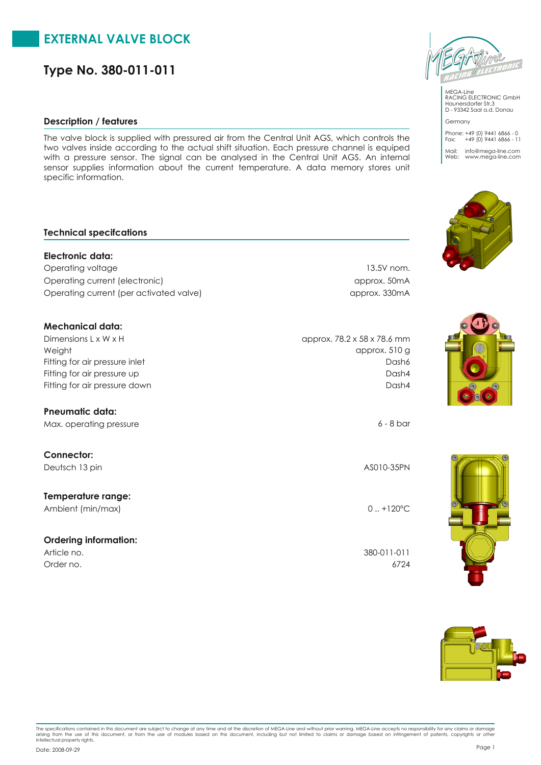# **EXTERNAL VALVE BLOCK**

**Type No. 380-011-011**

#### **Description / features**

The valve block is supplied with pressured air from the Central Unit AGS, which controls the two valves inside according to the actual shift situation. Each pressure channel is equiped with a pressure sensor. The signal can be analysed in the Central Unit AGS. An internal sensor supplies information about the current temperature. A data memory stores unit specific information.

### **Technical specifcations**

**Electronic data:** Operating voltage 13.5V nom. Operating current (electronic) approx. 50mA Operating current (per activated valve) approx. 330mA **Mechanical data:**

Weight Dimensions L x W x H Fitting for air pressure up Fitting for air pressure inlet Fitting for air pressure down Dash4

**Pneumatic data:** Max. operating pressure 6 - 8 bar

**Connector:** Deutsch 13 pin AS010-35PN AS010-35PN

**Temperature range:** Ambient (min/max) 0...+120°C

## **Ordering information:**

Order no. 6724

approx. 510 g approx. 78.2 x 58 x 78.6 mm Dash6

Dash4

Article no. 380-011-011



MEGA-Line RACING ELECTRONIC GmbH Haunersdorfer Str.3 D - 93342 Saal a.d. Donau

Phone: +49 (0) 9441 6866 - 0 Fax: +49 (0) 9441 6866 - 11 Mail: info@mega-line.com Web: www.mega-line.com

Germany





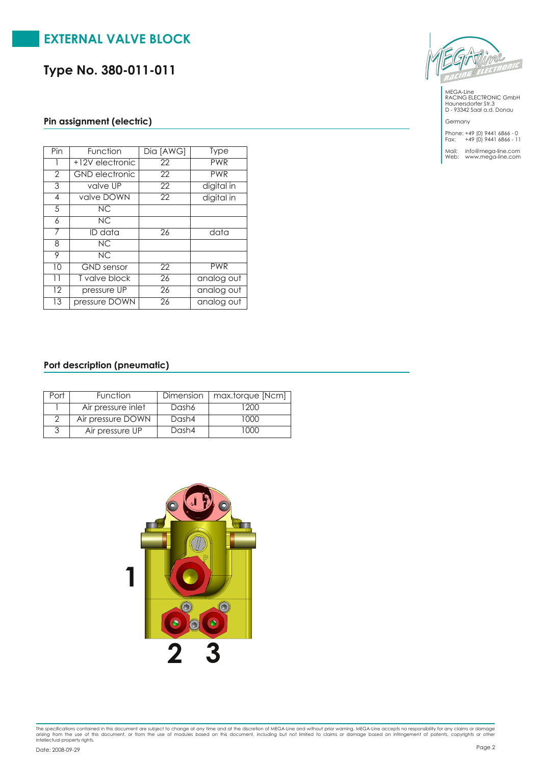# **EXTERNAL VALVE BLOCK**

**Type No. 380-011-011**

### **Pin assignment (electric)**

| $\overline{Pin}$ | Function              | Dia [AWG]       | <b>Type</b> |
|------------------|-----------------------|-----------------|-------------|
|                  | +12V electronic       | 22              | <b>PWR</b>  |
| $\overline{2}$   | <b>GND</b> electronic | 22              | <b>PWR</b>  |
| 3                | valve UP              | $\overline{22}$ | digital in  |
| 4                | valve DOWN            | $\overline{22}$ | digital in  |
| 5                | NC.                   |                 |             |
| 6                | NC.                   |                 |             |
| 7                | $\overline{ID}$ data  | $\overline{26}$ | data        |
| 8                | NC                    |                 |             |
| 9                | NC                    |                 |             |
| 10               | <b>GND</b> sensor     | 22              | <b>PWR</b>  |
| $\overline{11}$  | T valve block         | 26              | analog out  |
| $\overline{12}$  | pressure UP           | $\overline{26}$ | analog out  |
| 13               | pressure DOWN         | 26              | analog out  |

### **Port description (pneumatic)**

| Function           |       | Dimension   max.torque [Ncm] |
|--------------------|-------|------------------------------|
| Air pressure inlet | Dash6 | 200                          |
| Air pressure DOWN  | Dash4 | 1000                         |
| Air pressure UP    | Dash4 | $(1)$ $(1)$                  |





MEGA-Line RACING ELECTRONIC GmbH Haunersdorfer Str.3 D - 93342 Saal a.d. Donau

Germany

Phone: +49 (0) 9441 6866 - 0 Fax: +49 (0) 9441 6866 - 11

Mail: info@mega-line.com Web: www.mega-line.com

The specifications contained in this document are subject to change at any time and at the discretion of MEGA-Line and without prior warning. MEGA-Line accepts no responsibility for any claims or damage<br>arising from the us Page <sup>2</sup> Date: 2008-09-29